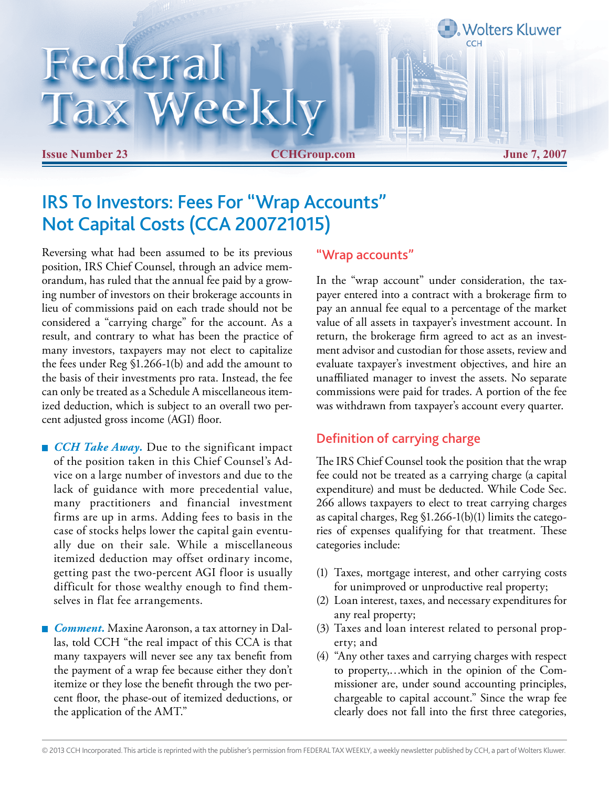## Federal Tax Weekly

**Issue Number 23 CCHGroup.com June 7, 2007**

**Wolters Kluwer** 

## IRS To Investors: Fees For "Wrap Accounts" Not Capital Costs (CCA 200721015)

Reversing what had been assumed to be its previous position, IRS Chief Counsel, through an advice memorandum, has ruled that the annual fee paid by a growing number of investors on their brokerage accounts in lieu of commissions paid on each trade should not be considered a "carrying charge" for the account. As a result, and contrary to what has been the practice of many investors, taxpayers may not elect to capitalize the fees under Reg §1.266-1(b) and add the amount to the basis of their investments pro rata. Instead, the fee can only be treated as a Schedule A miscellaneous itemized deduction, which is subject to an overall two percent adjusted gross income (AGI) floor.

- *CCH Take Away*. Due to the significant impact of the position taken in this Chief Counsel's Advice on a large number of investors and due to the lack of guidance with more precedential value, many practitioners and financial investment firms are up in arms. Adding fees to basis in the case of stocks helps lower the capital gain eventually due on their sale. While a miscellaneous itemized deduction may offset ordinary income, getting past the two-percent AGI floor is usually difficult for those wealthy enough to find themselves in flat fee arrangements.
- *Comment*. Maxine Aaronson, a tax attorney in Dallas, told CCH "the real impact of this CCA is that many taxpayers will never see any tax benefit from the payment of a wrap fee because either they don't itemize or they lose the benefit through the two percent floor, the phase-out of itemized deductions, or the application of the AMT."

## "Wrap accounts"

In the "wrap account" under consideration, the taxpayer entered into a contract with a brokerage firm to pay an annual fee equal to a percentage of the market value of all assets in taxpayer's investment account. In return, the brokerage firm agreed to act as an investment advisor and custodian for those assets, review and evaluate taxpayer's investment objectives, and hire an unaffiliated manager to invest the assets. No separate commissions were paid for trades. A portion of the fee was withdrawn from taxpayer's account every quarter.

## Definition of carrying charge

The IRS Chief Counsel took the position that the wrap fee could not be treated as a carrying charge (a capital expenditure) and must be deducted. While Code Sec. 266 allows taxpayers to elect to treat carrying charges as capital charges, Reg §1.266-1(b)(1) limits the categories of expenses qualifying for that treatment. These categories include:

- (1) Taxes, mortgage interest, and other carrying costs for unimproved or unproductive real property;
- (2) Loan interest, taxes, and necessary expenditures for any real property;
- (3) Taxes and loan interest related to personal property; and
- (4) "Any other taxes and carrying charges with respect to property,…which in the opinion of the Commissioner are, under sound accounting principles, chargeable to capital account." Since the wrap fee clearly does not fall into the first three categories,

<sup>© 2013</sup> CCH Incorporated. This article is reprinted with the publisher's permission from FEDERAL TAX WEEKLY, a weekly newsletter published by CCH, a part of Wolters Kluwer.